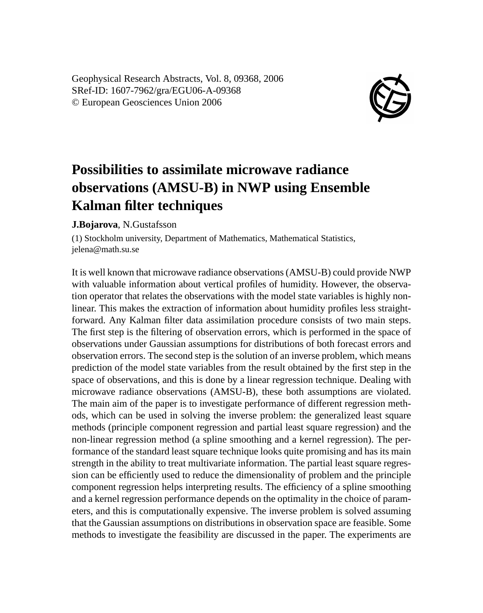Geophysical Research Abstracts, Vol. 8, 09368, 2006 SRef-ID: 1607-7962/gra/EGU06-A-09368 © European Geosciences Union 2006



## **Possibilities to assimilate microwave radiance observations (AMSU-B) in NWP using Ensemble Kalman filter techniques**

## **J.Bojarova**, N.Gustafsson

(1) Stockholm university, Department of Mathematics, Mathematical Statistics, jelena@math.su.se

It is well known that microwave radiance observations (AMSU-B) could provide NWP with valuable information about vertical profiles of humidity. However, the observation operator that relates the observations with the model state variables is highly nonlinear. This makes the extraction of information about humidity profiles less straightforward. Any Kalman filter data assimilation procedure consists of two main steps. The first step is the filtering of observation errors, which is performed in the space of observations under Gaussian assumptions for distributions of both forecast errors and observation errors. The second step is the solution of an inverse problem, which means prediction of the model state variables from the result obtained by the first step in the space of observations, and this is done by a linear regression technique. Dealing with microwave radiance observations (AMSU-B), these both assumptions are violated. The main aim of the paper is to investigate performance of different regression methods, which can be used in solving the inverse problem: the generalized least square methods (principle component regression and partial least square regression) and the non-linear regression method (a spline smoothing and a kernel regression). The performance of the standard least square technique looks quite promising and has its main strength in the ability to treat multivariate information. The partial least square regression can be efficiently used to reduce the dimensionality of problem and the principle component regression helps interpreting results. The efficiency of a spline smoothing and a kernel regression performance depends on the optimality in the choice of parameters, and this is computationally expensive. The inverse problem is solved assuming that the Gaussian assumptions on distributions in observation space are feasible. Some methods to investigate the feasibility are discussed in the paper. The experiments are